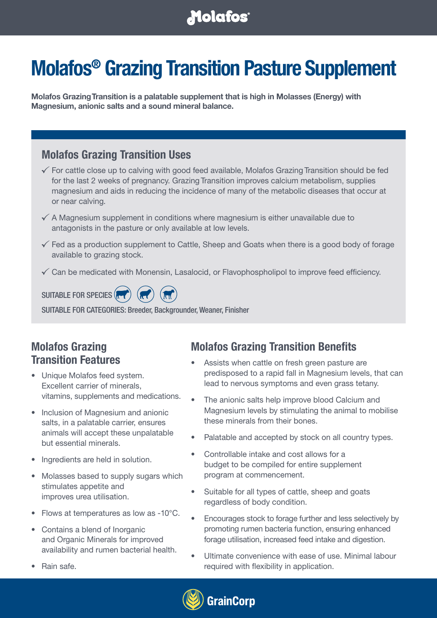## **Molafos**

# **Molafos® Grazing Transition Pasture Supplement**

**Molafos Grazing Transition is a palatable supplement that is high in Molasses (Energy) with Magnesium, anionic salts and a sound mineral balance.**

#### **Molafos Grazing Transition Uses**

- $\checkmark$  For cattle close up to calving with good feed available, Molafos Grazing Transition should be fed for the last 2 weeks of pregnancy. Grazing Transition improves calcium metabolism, supplies magnesium and aids in reducing the incidence of many of the metabolic diseases that occur at or near calving.
- $\checkmark$  A Magnesium supplement in conditions where magnesium is either unavailable due to antagonists in the pasture or only available at low levels.
- $\checkmark$  Fed as a production supplement to Cattle, Sheep and Goats when there is a good body of forage available to grazing stock.
- $\checkmark$  Can be medicated with Monensin, Lasalocid, or Flavophospholipol to improve feed efficiency.

SUITABLE FOR SPECIES (**RE** 

SUITABLE FOR CATEGORIES: Breeder, Backgrounder, Weaner, Finisher

## **Molafos Grazing Transition Features**

- Unique Molafos feed system. Excellent carrier of minerals, vitamins, supplements and medications.
- Inclusion of Magnesium and anionic salts, in a palatable carrier, ensures animals will accept these unpalatable but essential minerals.
- Ingredients are held in solution.
- Molasses based to supply sugars which stimulates appetite and improves urea utilisation.
- Flows at temperatures as low as -10°C.
- Contains a blend of Inorganic and Organic Minerals for improved availability and rumen bacterial health.
- Rain safe.

## **Molafos Grazing Transition Benefits**

- Assists when cattle on fresh green pasture are predisposed to a rapid fall in Magnesium levels, that can lead to nervous symptoms and even grass tetany.
- The anionic salts help improve blood Calcium and Magnesium levels by stimulating the animal to mobilise these minerals from their bones.
- Palatable and accepted by stock on all country types.
- Controllable intake and cost allows for a budget to be compiled for entire supplement program at commencement.
- Suitable for all types of cattle, sheep and goats regardless of body condition.
- Encourages stock to forage further and less selectively by promoting rumen bacteria function, ensuring enhanced forage utilisation, increased feed intake and digestion.
- Ultimate convenience with ease of use. Minimal labour required with flexibility in application.